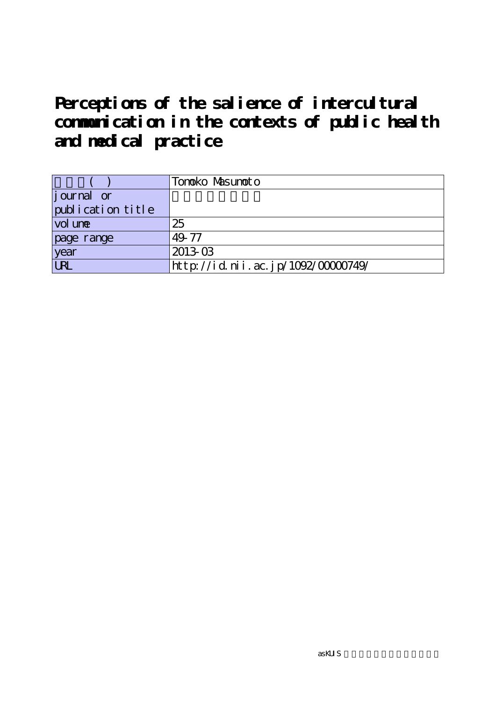|                   | Tonoko Masunoto                    |
|-------------------|------------------------------------|
| journal or        |                                    |
| publication title |                                    |
| vol une           | 25                                 |
| page range        | 49.77                              |
| year              | 2013.03                            |
| URL               | http://id.nii.ac.jp/1092/00000749/ |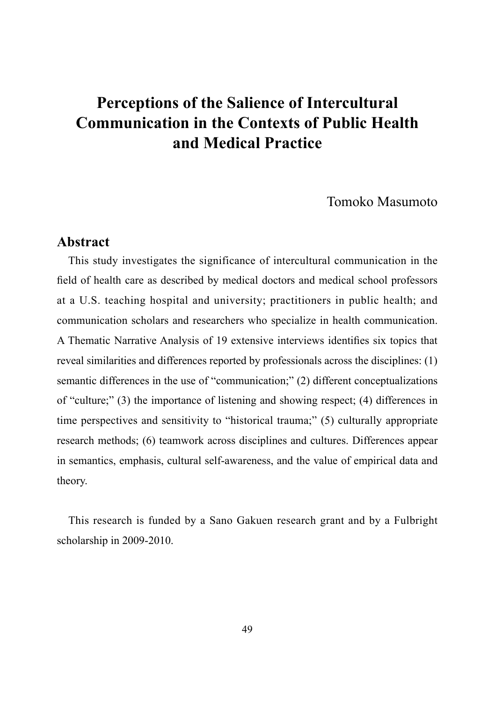Tomoko Masumoto

### **Abstract**

This study investigates the significance of intercultural communication in the field of health care as described by medical doctors and medical school professors at a U.S. teaching hospital and university; practitioners in public health; and communication scholars and researchers who specialize in health communication. A Thematic Narrative Analysis of 19 extensive interviews identifies six topics that reveal similarities and differences reported by professionals across the disciplines: (1) semantic differences in the use of "communication;" (2) different conceptualizations of "culture;" (3) the importance of listening and showing respect; (4) differences in time perspectives and sensitivity to "historical trauma;" (5) culturally appropriate research methods; (6) teamwork across disciplines and cultures. Differences appear in semantics, emphasis, cultural self-awareness, and the value of empirical data and theory.

This research is funded by a Sano Gakuen research grant and by a Fulbright scholarship in 2009-2010.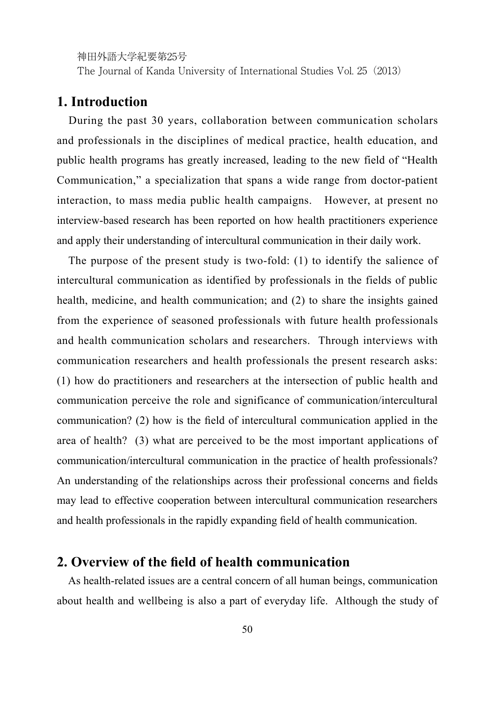The Journal of Kanda University of International Studies Vol. 25(2013)

## **1. Introduction**

During the past 30 years, collaboration between communication scholars and professionals in the disciplines of medical practice, health education, and public health programs has greatly increased, leading to the new field of "Health Communication," a specialization that spans a wide range from doctor-patient interaction, to mass media public health campaigns. However, at present no interview-based research has been reported on how health practitioners experience and apply their understanding of intercultural communication in their daily work.

The purpose of the present study is two-fold: (1) to identify the salience of intercultural communication as identified by professionals in the fields of public health, medicine, and health communication; and (2) to share the insights gained from the experience of seasoned professionals with future health professionals and health communication scholars and researchers. Through interviews with communication researchers and health professionals the present research asks: (1) how do practitioners and researchers at the intersection of public health and communication perceive the role and significance of communication/intercultural communication? (2) how is the field of intercultural communication applied in the area of health? (3) what are perceived to be the most important applications of communication/intercultural communication in the practice of health professionals? An understanding of the relationships across their professional concerns and fields may lead to effective cooperation between intercultural communication researchers and health professionals in the rapidly expanding field of health communication.

## **2. Overview of the field of health communication**

As health-related issues are a central concern of all human beings, communication about health and wellbeing is also a part of everyday life. Although the study of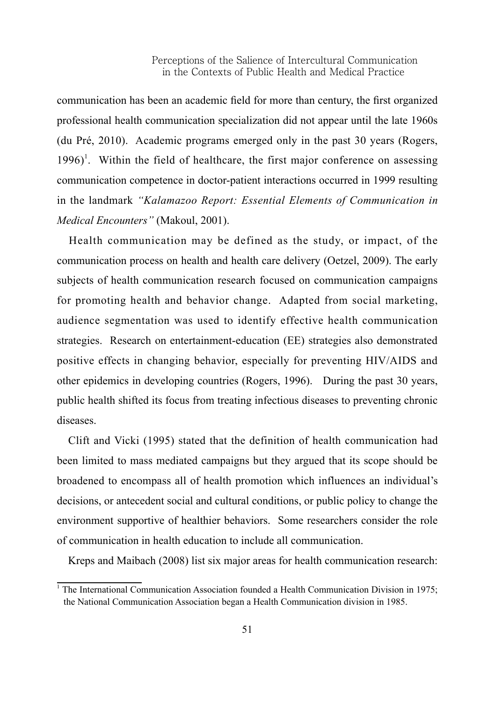communication has been an academic field for more than century, the first organized professional health communication specialization did not appear until the late 1960s (du Pré, 2010). Academic programs emerged only in the past 30 years (Rogers,  $1996$ <sup>1</sup>. Within the field of healthcare, the first major conference on assessing communication competence in doctor-patient interactions occurred in 1999 resulting in the landmark *"Kalamazoo Report: Essential Elements of Communication in Medical Encounters"* (Makoul, 2001).

Health communication may be defined as the study, or impact, of the communication process on health and health care delivery (Oetzel, 2009). The early subjects of health communication research focused on communication campaigns for promoting health and behavior change. Adapted from social marketing, audience segmentation was used to identify effective health communication strategies. Research on entertainment-education (EE) strategies also demonstrated positive effects in changing behavior, especially for preventing HIV/AIDS and other epidemics in developing countries (Rogers, 1996). During the past 30 years, public health shifted its focus from treating infectious diseases to preventing chronic diseases.

Clift and Vicki (1995) stated that the definition of health communication had been limited to mass mediated campaigns but they argued that its scope should be broadened to encompass all of health promotion which influences an individual's decisions, or antecedent social and cultural conditions, or public policy to change the environment supportive of healthier behaviors. Some researchers consider the role of communication in health education to include all communication.

Kreps and Maibach (2008) list six major areas for health communication research:

<sup>&</sup>lt;sup>1</sup> The International Communication Association founded a Health Communication Division in 1975; the National Communication Association began a Health Communication division in 1985.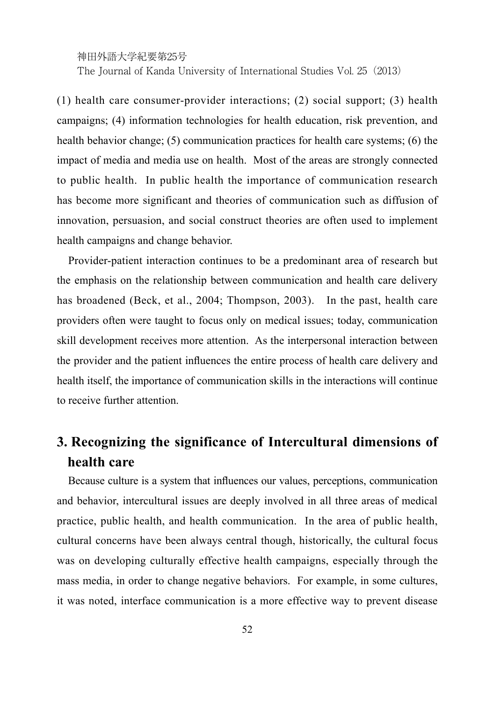The Journal of Kanda University of International Studies Vol. 25(2013)

(1) health care consumer-provider interactions; (2) social support; (3) health campaigns; (4) information technologies for health education, risk prevention, and health behavior change; (5) communication practices for health care systems; (6) the impact of media and media use on health. Most of the areas are strongly connected to public health. In public health the importance of communication research has become more significant and theories of communication such as diffusion of innovation, persuasion, and social construct theories are often used to implement health campaigns and change behavior.

Provider-patient interaction continues to be a predominant area of research but the emphasis on the relationship between communication and health care delivery has broadened (Beck, et al., 2004; Thompson, 2003). In the past, health care providers often were taught to focus only on medical issues; today, communication skill development receives more attention. As the interpersonal interaction between the provider and the patient influences the entire process of health care delivery and health itself, the importance of communication skills in the interactions will continue to receive further attention.

## **3. Recognizing the significance of Intercultural dimensions of health care**

Because culture is a system that influences our values, perceptions, communication and behavior, intercultural issues are deeply involved in all three areas of medical practice, public health, and health communication. In the area of public health, cultural concerns have been always central though, historically, the cultural focus was on developing culturally effective health campaigns, especially through the mass media, in order to change negative behaviors. For example, in some cultures, it was noted, interface communication is a more effective way to prevent disease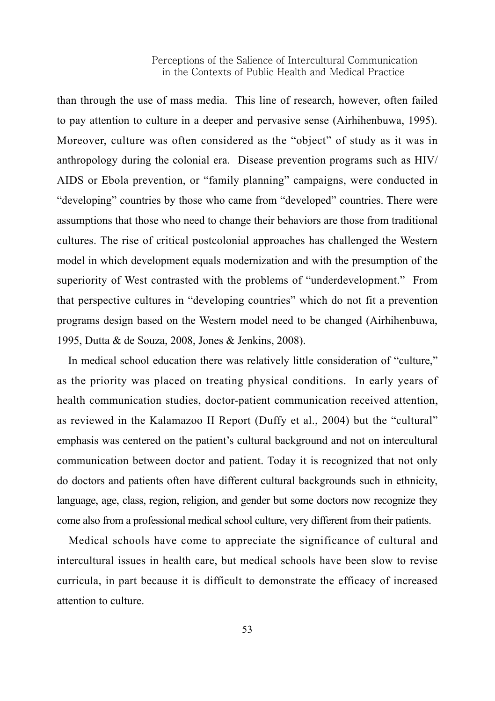than through the use of mass media. This line of research, however, often failed to pay attention to culture in a deeper and pervasive sense (Airhihenbuwa, 1995). Moreover, culture was often considered as the "object" of study as it was in anthropology during the colonial era. Disease prevention programs such as HIV/ AIDS or Ebola prevention, or "family planning" campaigns, were conducted in "developing" countries by those who came from "developed" countries. There were assumptions that those who need to change their behaviors are those from traditional cultures. The rise of critical postcolonial approaches has challenged the Western model in which development equals modernization and with the presumption of the superiority of West contrasted with the problems of "underdevelopment." From that perspective cultures in "developing countries" which do not fit a prevention programs design based on the Western model need to be changed (Airhihenbuwa, 1995, Dutta & de Souza, 2008, Jones & Jenkins, 2008).

In medical school education there was relatively little consideration of "culture," as the priority was placed on treating physical conditions. In early years of health communication studies, doctor-patient communication received attention, as reviewed in the Kalamazoo II Report (Duffy et al., 2004) but the "cultural" emphasis was centered on the patient's cultural background and not on intercultural communication between doctor and patient. Today it is recognized that not only do doctors and patients often have different cultural backgrounds such in ethnicity, language, age, class, region, religion, and gender but some doctors now recognize they come also from a professional medical school culture, very different from their patients.

Medical schools have come to appreciate the significance of cultural and intercultural issues in health care, but medical schools have been slow to revise curricula, in part because it is difficult to demonstrate the efficacy of increased attention to culture.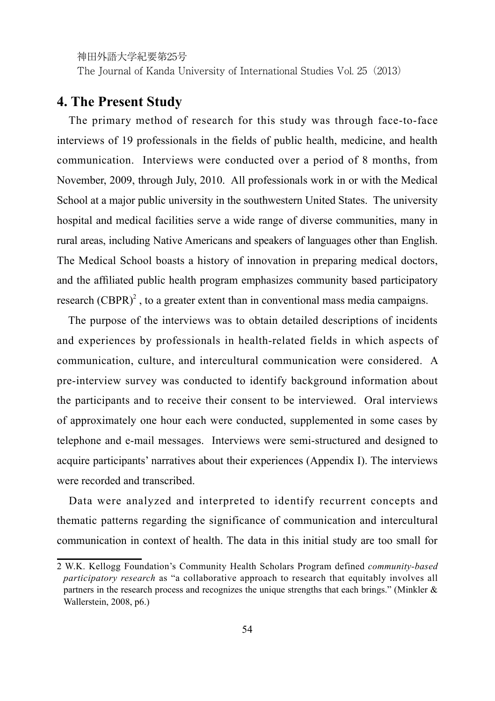The Journal of Kanda University of International Studies Vol. 25(2013)

## **4. The Present Study**

The primary method of research for this study was through face-to-face interviews of 19 professionals in the fields of public health, medicine, and health communication. Interviews were conducted over a period of 8 months, from November, 2009, through July, 2010. All professionals work in or with the Medical School at a major public university in the southwestern United States. The university hospital and medical facilities serve a wide range of diverse communities, many in rural areas, including Native Americans and speakers of languages other than English. The Medical School boasts a history of innovation in preparing medical doctors, and the affiliated public health program emphasizes community based participatory research  $(CBPR)^2$ , to a greater extent than in conventional mass media campaigns.

The purpose of the interviews was to obtain detailed descriptions of incidents and experiences by professionals in health-related fields in which aspects of communication, culture, and intercultural communication were considered. A pre-interview survey was conducted to identify background information about the participants and to receive their consent to be interviewed. Oral interviews of approximately one hour each were conducted, supplemented in some cases by telephone and e-mail messages. Interviews were semi-structured and designed to acquire participants' narratives about their experiences (Appendix I). The interviews were recorded and transcribed.

Data were analyzed and interpreted to identify recurrent concepts and thematic patterns regarding the significance of communication and intercultural communication in context of health. The data in this initial study are too small for

<sup>2</sup> W.K. Kellogg Foundation's Community Health Scholars Program defined *community-based participatory research* as "a collaborative approach to research that equitably involves all partners in the research process and recognizes the unique strengths that each brings." (Minkler & Wallerstein, 2008, p6.)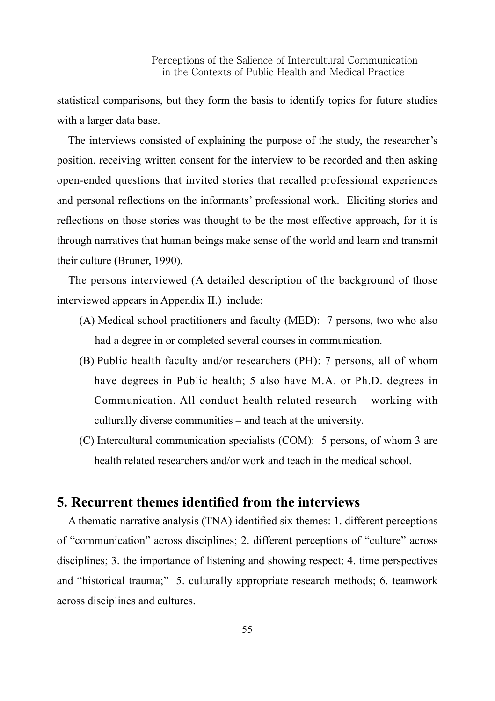statistical comparisons, but they form the basis to identify topics for future studies with a larger data base.

The interviews consisted of explaining the purpose of the study, the researcher's position, receiving written consent for the interview to be recorded and then asking open-ended questions that invited stories that recalled professional experiences and personal reflections on the informants' professional work. Eliciting stories and reflections on those stories was thought to be the most effective approach, for it is through narratives that human beings make sense of the world and learn and transmit their culture (Bruner, 1990).

The persons interviewed (A detailed description of the background of those interviewed appears in Appendix II.) include:

- (A) Medical school practitioners and faculty (MED): 7 persons, two who also had a degree in or completed several courses in communication.
- (B) Public health faculty and/or researchers (PH): 7 persons, all of whom have degrees in Public health; 5 also have M.A. or Ph.D. degrees in Communication. All conduct health related research – working with culturally diverse communities – and teach at the university.
- (C) Intercultural communication specialists (COM): 5 persons, of whom 3 are health related researchers and/or work and teach in the medical school.

## **5. Recurrent themes identified from the interviews**

A thematic narrative analysis (TNA) identified six themes: 1. different perceptions of "communication" across disciplines; 2. different perceptions of "culture" across disciplines; 3. the importance of listening and showing respect; 4. time perspectives and "historical trauma;" 5. culturally appropriate research methods; 6. teamwork across disciplines and cultures.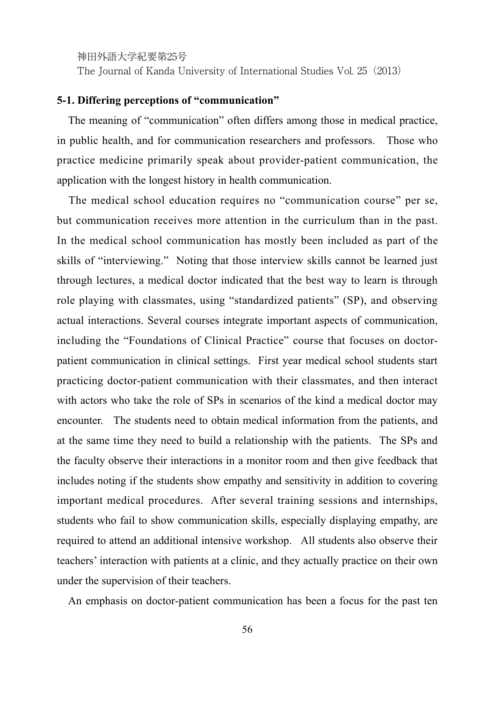The Journal of Kanda University of International Studies Vol. 25(2013)

#### **5-1. Differing perceptions of "communication"**

The meaning of "communication" often differs among those in medical practice, in public health, and for communication researchers and professors. Those who practice medicine primarily speak about provider-patient communication, the application with the longest history in health communication.

The medical school education requires no "communication course" per se, but communication receives more attention in the curriculum than in the past. In the medical school communication has mostly been included as part of the skills of "interviewing." Noting that those interview skills cannot be learned just through lectures, a medical doctor indicated that the best way to learn is through role playing with classmates, using "standardized patients" (SP), and observing actual interactions. Several courses integrate important aspects of communication, including the "Foundations of Clinical Practice" course that focuses on doctorpatient communication in clinical settings. First year medical school students start practicing doctor-patient communication with their classmates, and then interact with actors who take the role of SPs in scenarios of the kind a medical doctor may encounter. The students need to obtain medical information from the patients, and at the same time they need to build a relationship with the patients. The SPs and the faculty observe their interactions in a monitor room and then give feedback that includes noting if the students show empathy and sensitivity in addition to covering important medical procedures. After several training sessions and internships, students who fail to show communication skills, especially displaying empathy, are required to attend an additional intensive workshop. All students also observe their teachers' interaction with patients at a clinic, and they actually practice on their own under the supervision of their teachers.

An emphasis on doctor-patient communication has been a focus for the past ten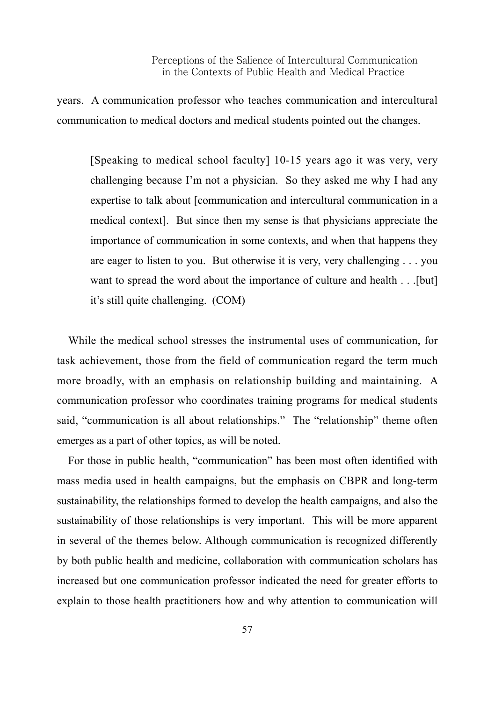years. A communication professor who teaches communication and intercultural communication to medical doctors and medical students pointed out the changes.

[Speaking to medical school faculty] 10-15 years ago it was very, very challenging because I'm not a physician. So they asked me why I had any expertise to talk about [communication and intercultural communication in a medical context]. But since then my sense is that physicians appreciate the importance of communication in some contexts, and when that happens they are eager to listen to you. But otherwise it is very, very challenging . . . you want to spread the word about the importance of culture and health . . .[but] it's still quite challenging. (COM)

While the medical school stresses the instrumental uses of communication, for task achievement, those from the field of communication regard the term much more broadly, with an emphasis on relationship building and maintaining. A communication professor who coordinates training programs for medical students said, "communication is all about relationships." The "relationship" theme often emerges as a part of other topics, as will be noted.

For those in public health, "communication" has been most often identified with mass media used in health campaigns, but the emphasis on CBPR and long-term sustainability, the relationships formed to develop the health campaigns, and also the sustainability of those relationships is very important. This will be more apparent in several of the themes below. Although communication is recognized differently by both public health and medicine, collaboration with communication scholars has increased but one communication professor indicated the need for greater efforts to explain to those health practitioners how and why attention to communication will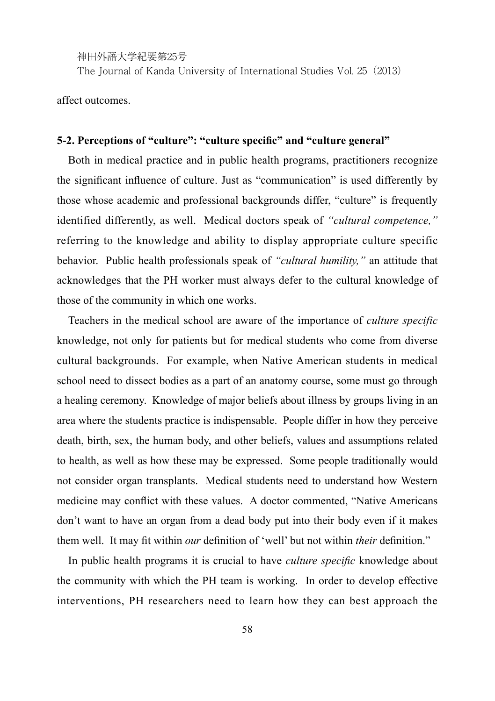The Journal of Kanda University of International Studies Vol. 25(2013)

affect outcomes.

#### **5-2. Perceptions of "culture": "culture specific" and "culture general"**

Both in medical practice and in public health programs, practitioners recognize the significant influence of culture. Just as "communication" is used differently by those whose academic and professional backgrounds differ, "culture" is frequently identified differently, as well. Medical doctors speak of *"cultural competence,"* referring to the knowledge and ability to display appropriate culture specific behavior. Public health professionals speak of *"cultural humility,"* an attitude that acknowledges that the PH worker must always defer to the cultural knowledge of those of the community in which one works.

Teachers in the medical school are aware of the importance of *culture specific*  knowledge, not only for patients but for medical students who come from diverse cultural backgrounds. For example, when Native American students in medical school need to dissect bodies as a part of an anatomy course, some must go through a healing ceremony. Knowledge of major beliefs about illness by groups living in an area where the students practice is indispensable. People differ in how they perceive death, birth, sex, the human body, and other beliefs, values and assumptions related to health, as well as how these may be expressed. Some people traditionally would not consider organ transplants. Medical students need to understand how Western medicine may conflict with these values. A doctor commented, "Native Americans don't want to have an organ from a dead body put into their body even if it makes them well. It may fit within *our* definition of 'well' but not within *their* definition."

In public health programs it is crucial to have *culture specific* knowledge about the community with which the PH team is working. In order to develop effective interventions, PH researchers need to learn how they can best approach the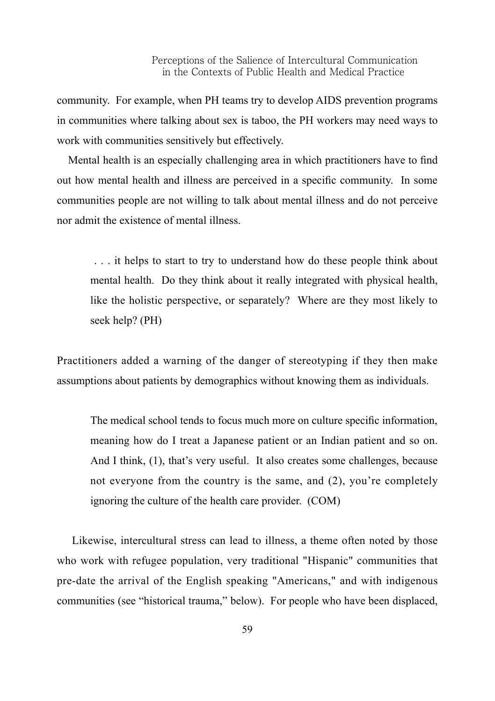community. For example, when PH teams try to develop AIDS prevention programs in communities where talking about sex is taboo, the PH workers may need ways to work with communities sensitively but effectively.

Mental health is an especially challenging area in which practitioners have to find out how mental health and illness are perceived in a specific community. In some communities people are not willing to talk about mental illness and do not perceive nor admit the existence of mental illness.

 . . . it helps to start to try to understand how do these people think about mental health. Do they think about it really integrated with physical health, like the holistic perspective, or separately? Where are they most likely to seek help? (PH)

Practitioners added a warning of the danger of stereotyping if they then make assumptions about patients by demographics without knowing them as individuals.

The medical school tends to focus much more on culture specific information, meaning how do I treat a Japanese patient or an Indian patient and so on. And I think, (1), that's very useful. It also creates some challenges, because not everyone from the country is the same, and (2), you're completely ignoring the culture of the health care provider. (COM)

Likewise, intercultural stress can lead to illness, a theme often noted by those who work with refugee population, very traditional "Hispanic" communities that pre-date the arrival of the English speaking "Americans," and with indigenous communities (see "historical trauma," below). For people who have been displaced,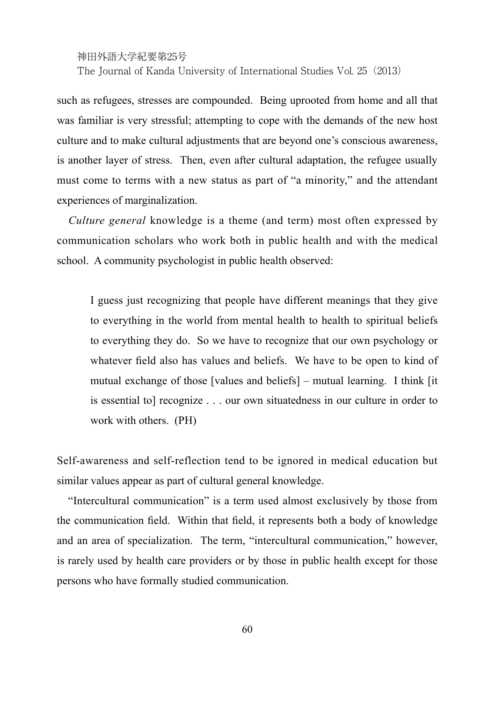The Journal of Kanda University of International Studies Vol. 25(2013)

such as refugees, stresses are compounded. Being uprooted from home and all that was familiar is very stressful; attempting to cope with the demands of the new host culture and to make cultural adjustments that are beyond one's conscious awareness, is another layer of stress. Then, even after cultural adaptation, the refugee usually must come to terms with a new status as part of "a minority," and the attendant experiences of marginalization.

*Culture general* knowledge is a theme (and term) most often expressed by communication scholars who work both in public health and with the medical school. A community psychologist in public health observed:

I guess just recognizing that people have different meanings that they give to everything in the world from mental health to health to spiritual beliefs to everything they do. So we have to recognize that our own psychology or whatever field also has values and beliefs. We have to be open to kind of mutual exchange of those [values and beliefs] – mutual learning. I think [it is essential to] recognize . . . our own situatedness in our culture in order to work with others. (PH)

Self-awareness and self-reflection tend to be ignored in medical education but similar values appear as part of cultural general knowledge.

"Intercultural communication" is a term used almost exclusively by those from the communication field. Within that field, it represents both a body of knowledge and an area of specialization. The term, "intercultural communication," however, is rarely used by health care providers or by those in public health except for those persons who have formally studied communication.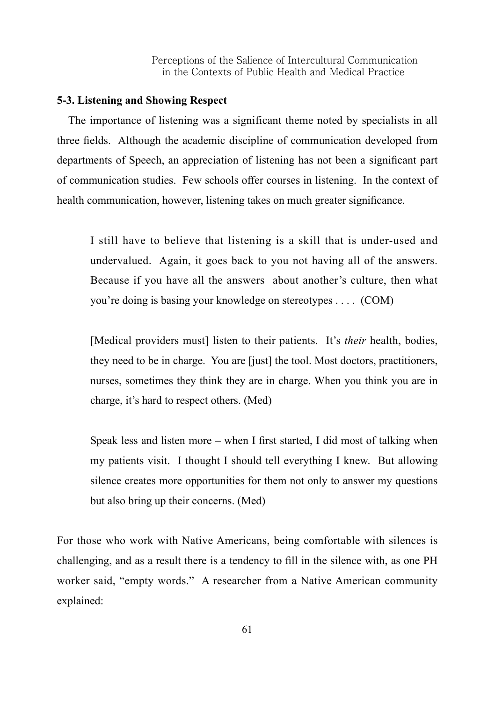#### **5-3. Listening and Showing Respect**

The importance of listening was a significant theme noted by specialists in all three fields. Although the academic discipline of communication developed from departments of Speech, an appreciation of listening has not been a significant part of communication studies. Few schools offer courses in listening. In the context of health communication, however, listening takes on much greater significance.

I still have to believe that listening is a skill that is under-used and undervalued. Again, it goes back to you not having all of the answers. Because if you have all the answers about another's culture, then what you're doing is basing your knowledge on stereotypes . . . . (COM)

[Medical providers must] listen to their patients. It's *their* health, bodies, they need to be in charge. You are [just] the tool. Most doctors, practitioners, nurses, sometimes they think they are in charge. When you think you are in charge, it's hard to respect others. (Med)

Speak less and listen more – when I first started, I did most of talking when my patients visit. I thought I should tell everything I knew. But allowing silence creates more opportunities for them not only to answer my questions but also bring up their concerns. (Med)

For those who work with Native Americans, being comfortable with silences is challenging, and as a result there is a tendency to fill in the silence with, as one PH worker said, "empty words." A researcher from a Native American community explained: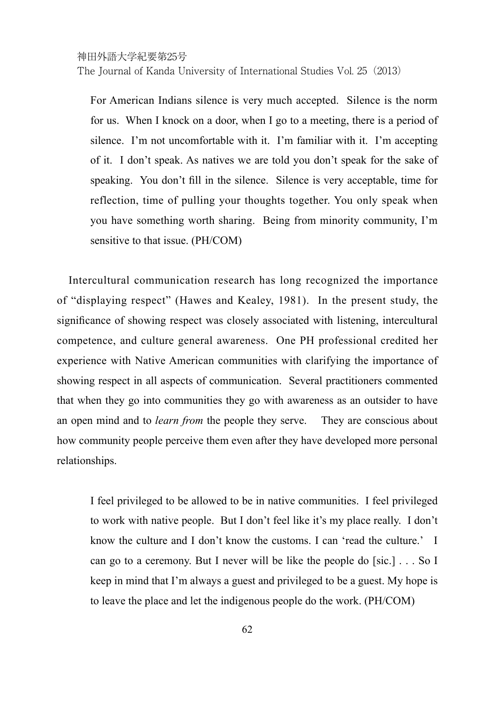For American Indians silence is very much accepted. Silence is the norm for us. When I knock on a door, when I go to a meeting, there is a period of silence. I'm not uncomfortable with it. I'm familiar with it. I'm accepting of it. I don't speak. As natives we are told you don't speak for the sake of speaking. You don't fill in the silence. Silence is very acceptable, time for reflection, time of pulling your thoughts together. You only speak when you have something worth sharing. Being from minority community, I'm sensitive to that issue. (PH/COM)

Intercultural communication research has long recognized the importance of "displaying respect" (Hawes and Kealey, 1981). In the present study, the significance of showing respect was closely associated with listening, intercultural competence, and culture general awareness. One PH professional credited her experience with Native American communities with clarifying the importance of showing respect in all aspects of communication. Several practitioners commented that when they go into communities they go with awareness as an outsider to have an open mind and to *learn from* the people they serve. They are conscious about how community people perceive them even after they have developed more personal relationships.

I feel privileged to be allowed to be in native communities. I feel privileged to work with native people. But I don't feel like it's my place really. I don't know the culture and I don't know the customs. I can 'read the culture.' I can go to a ceremony. But I never will be like the people do [sic.] . . . So I keep in mind that I'm always a guest and privileged to be a guest. My hope is to leave the place and let the indigenous people do the work. (PH/COM)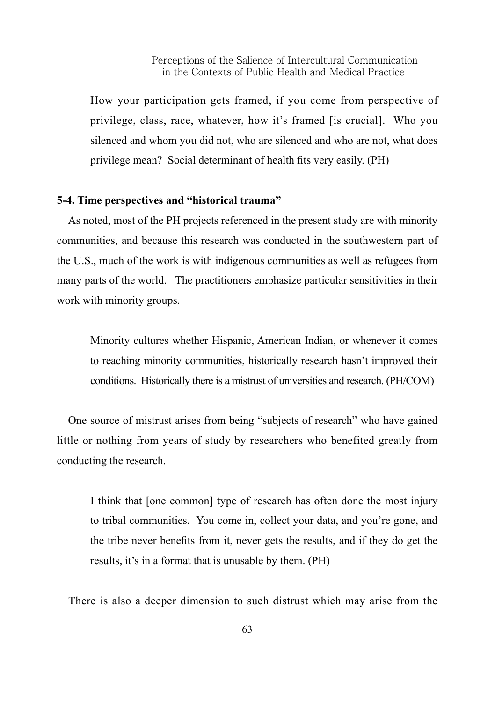How your participation gets framed, if you come from perspective of privilege, class, race, whatever, how it's framed [is crucial]. Who you silenced and whom you did not, who are silenced and who are not, what does privilege mean? Social determinant of health fits very easily. (PH)

#### **5-4. Time perspectives and "historical trauma"**

As noted, most of the PH projects referenced in the present study are with minority communities, and because this research was conducted in the southwestern part of the U.S., much of the work is with indigenous communities as well as refugees from many parts of the world. The practitioners emphasize particular sensitivities in their work with minority groups.

Minority cultures whether Hispanic, American Indian, or whenever it comes to reaching minority communities, historically research hasn't improved their conditions. Historically there is a mistrust of universities and research. (PH/COM)

One source of mistrust arises from being "subjects of research" who have gained little or nothing from years of study by researchers who benefited greatly from conducting the research.

I think that [one common] type of research has often done the most injury to tribal communities. You come in, collect your data, and you're gone, and the tribe never benefits from it, never gets the results, and if they do get the results, it's in a format that is unusable by them. (PH)

There is also a deeper dimension to such distrust which may arise from the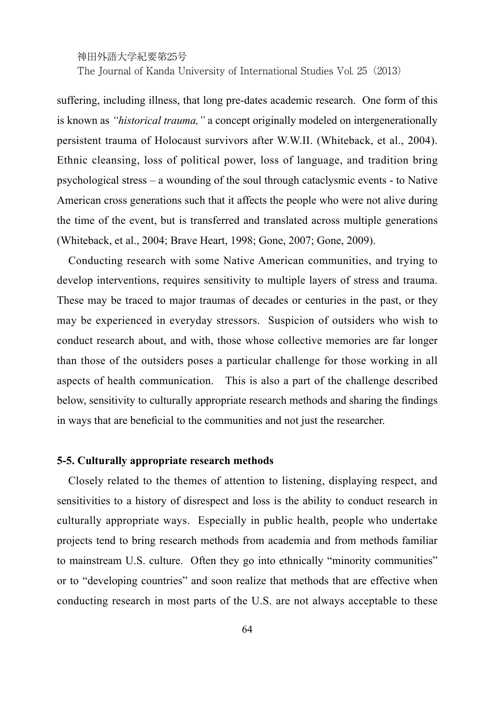The Journal of Kanda University of International Studies Vol. 25(2013)

suffering, including illness, that long pre-dates academic research. One form of this is known as *"historical trauma,"* a concept originally modeled on intergenerationally persistent trauma of Holocaust survivors after W.W.II. (Whiteback, et al., 2004). Ethnic cleansing, loss of political power, loss of language, and tradition bring psychological stress – a wounding of the soul through cataclysmic events - to Native American cross generations such that it affects the people who were not alive during the time of the event, but is transferred and translated across multiple generations (Whiteback, et al., 2004; Brave Heart, 1998; Gone, 2007; Gone, 2009).

Conducting research with some Native American communities, and trying to develop interventions, requires sensitivity to multiple layers of stress and trauma. These may be traced to major traumas of decades or centuries in the past, or they may be experienced in everyday stressors. Suspicion of outsiders who wish to conduct research about, and with, those whose collective memories are far longer than those of the outsiders poses a particular challenge for those working in all aspects of health communication. This is also a part of the challenge described below, sensitivity to culturally appropriate research methods and sharing the findings in ways that are beneficial to the communities and not just the researcher.

#### **5-5. Culturally appropriate research methods**

Closely related to the themes of attention to listening, displaying respect, and sensitivities to a history of disrespect and loss is the ability to conduct research in culturally appropriate ways. Especially in public health, people who undertake projects tend to bring research methods from academia and from methods familiar to mainstream U.S. culture. Often they go into ethnically "minority communities" or to "developing countries" and soon realize that methods that are effective when conducting research in most parts of the U.S. are not always acceptable to these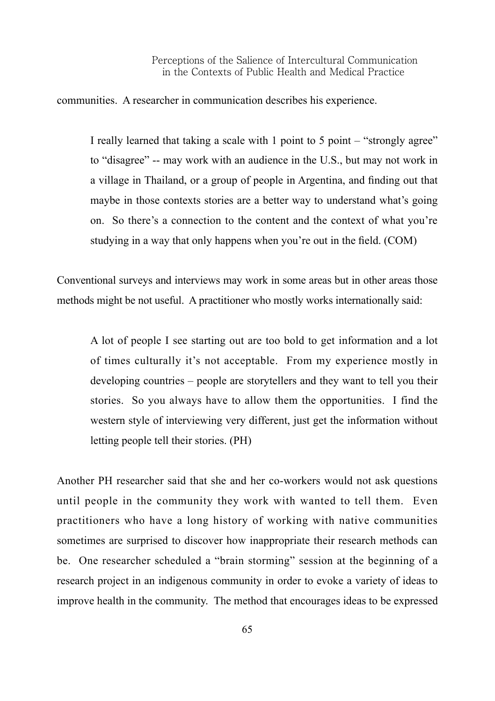communities. A researcher in communication describes his experience.

I really learned that taking a scale with 1 point to 5 point – "strongly agree" to "disagree" -- may work with an audience in the U.S., but may not work in a village in Thailand, or a group of people in Argentina, and finding out that maybe in those contexts stories are a better way to understand what's going on. So there's a connection to the content and the context of what you're studying in a way that only happens when you're out in the field. (COM)

Conventional surveys and interviews may work in some areas but in other areas those methods might be not useful. A practitioner who mostly works internationally said:

A lot of people I see starting out are too bold to get information and a lot of times culturally it's not acceptable. From my experience mostly in developing countries – people are storytellers and they want to tell you their stories. So you always have to allow them the opportunities. I find the western style of interviewing very different, just get the information without letting people tell their stories. (PH)

Another PH researcher said that she and her co-workers would not ask questions until people in the community they work with wanted to tell them. Even practitioners who have a long history of working with native communities sometimes are surprised to discover how inappropriate their research methods can be. One researcher scheduled a "brain storming" session at the beginning of a research project in an indigenous community in order to evoke a variety of ideas to improve health in the community. The method that encourages ideas to be expressed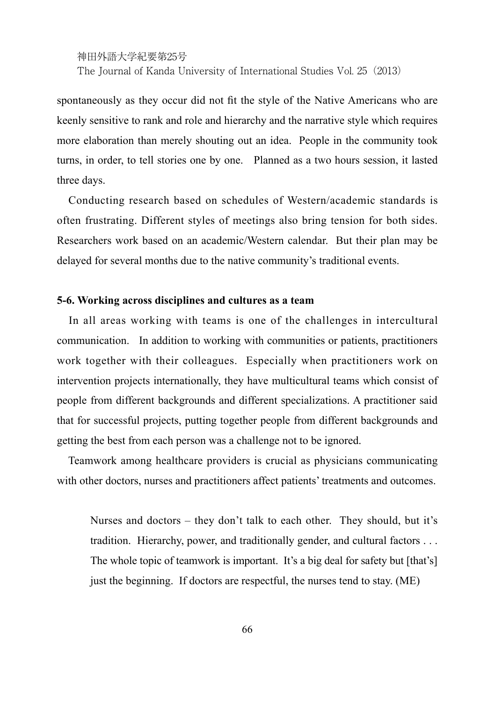spontaneously as they occur did not fit the style of the Native Americans who are keenly sensitive to rank and role and hierarchy and the narrative style which requires more elaboration than merely shouting out an idea. People in the community took turns, in order, to tell stories one by one. Planned as a two hours session, it lasted three days.

Conducting research based on schedules of Western/academic standards is often frustrating. Different styles of meetings also bring tension for both sides. Researchers work based on an academic/Western calendar. But their plan may be delayed for several months due to the native community's traditional events.

#### **5-6. Working across disciplines and cultures as a team**

In all areas working with teams is one of the challenges in intercultural communication. In addition to working with communities or patients, practitioners work together with their colleagues. Especially when practitioners work on intervention projects internationally, they have multicultural teams which consist of people from different backgrounds and different specializations. A practitioner said that for successful projects, putting together people from different backgrounds and getting the best from each person was a challenge not to be ignored.

Teamwork among healthcare providers is crucial as physicians communicating with other doctors, nurses and practitioners affect patients' treatments and outcomes.

Nurses and doctors – they don't talk to each other. They should, but it's tradition. Hierarchy, power, and traditionally gender, and cultural factors . . . The whole topic of teamwork is important. It's a big deal for safety but [that's] just the beginning. If doctors are respectful, the nurses tend to stay. (ME)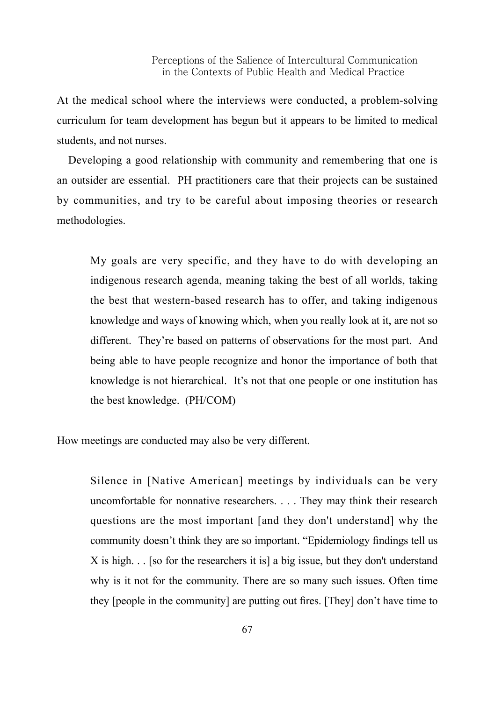At the medical school where the interviews were conducted, a problem-solving curriculum for team development has begun but it appears to be limited to medical students, and not nurses.

Developing a good relationship with community and remembering that one is an outsider are essential. PH practitioners care that their projects can be sustained by communities, and try to be careful about imposing theories or research methodologies.

My goals are very specific, and they have to do with developing an indigenous research agenda, meaning taking the best of all worlds, taking the best that western-based research has to offer, and taking indigenous knowledge and ways of knowing which, when you really look at it, are not so different. They're based on patterns of observations for the most part. And being able to have people recognize and honor the importance of both that knowledge is not hierarchical. It's not that one people or one institution has the best knowledge. (PH/COM)

How meetings are conducted may also be very different.

Silence in [Native American] meetings by individuals can be very uncomfortable for nonnative researchers. . . . They may think their research questions are the most important [and they don't understand] why the community doesn't think they are so important. "Epidemiology findings tell us X is high. . . [so for the researchers it is] a big issue, but they don't understand why is it not for the community. There are so many such issues. Often time they [people in the community] are putting out fires. [They] don't have time to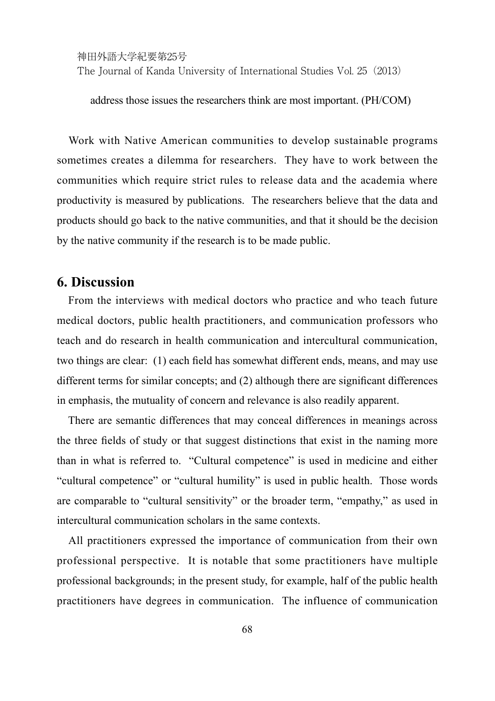address those issues the researchers think are most important. (PH/COM)

Work with Native American communities to develop sustainable programs sometimes creates a dilemma for researchers. They have to work between the communities which require strict rules to release data and the academia where productivity is measured by publications. The researchers believe that the data and products should go back to the native communities, and that it should be the decision by the native community if the research is to be made public.

## **6. Discussion**

From the interviews with medical doctors who practice and who teach future medical doctors, public health practitioners, and communication professors who teach and do research in health communication and intercultural communication, two things are clear: (1) each field has somewhat different ends, means, and may use different terms for similar concepts; and (2) although there are significant differences in emphasis, the mutuality of concern and relevance is also readily apparent.

There are semantic differences that may conceal differences in meanings across the three fields of study or that suggest distinctions that exist in the naming more than in what is referred to. "Cultural competence" is used in medicine and either "cultural competence" or "cultural humility" is used in public health. Those words are comparable to "cultural sensitivity" or the broader term, "empathy," as used in intercultural communication scholars in the same contexts.

All practitioners expressed the importance of communication from their own professional perspective. It is notable that some practitioners have multiple professional backgrounds; in the present study, for example, half of the public health practitioners have degrees in communication. The influence of communication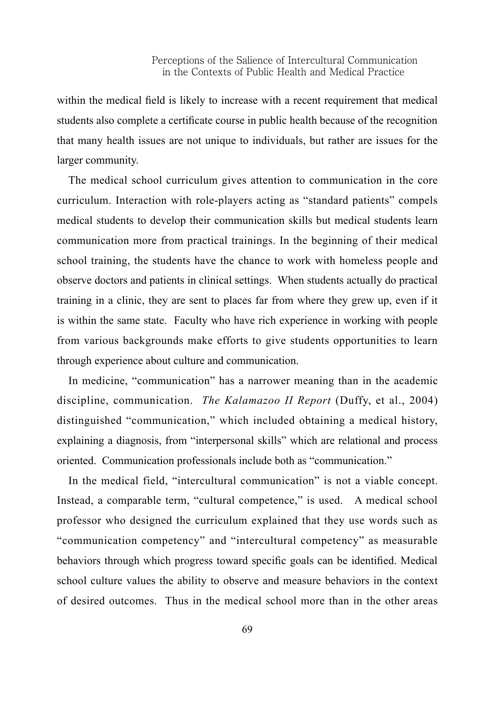within the medical field is likely to increase with a recent requirement that medical students also complete a certificate course in public health because of the recognition that many health issues are not unique to individuals, but rather are issues for the larger community.

The medical school curriculum gives attention to communication in the core curriculum. Interaction with role-players acting as "standard patients" compels medical students to develop their communication skills but medical students learn communication more from practical trainings. In the beginning of their medical school training, the students have the chance to work with homeless people and observe doctors and patients in clinical settings. When students actually do practical training in a clinic, they are sent to places far from where they grew up, even if it is within the same state. Faculty who have rich experience in working with people from various backgrounds make efforts to give students opportunities to learn through experience about culture and communication.

In medicine, "communication" has a narrower meaning than in the academic discipline, communication. *The Kalamazoo II Report* (Duffy, et al., 2004) distinguished "communication," which included obtaining a medical history, explaining a diagnosis, from "interpersonal skills" which are relational and process oriented. Communication professionals include both as "communication."

In the medical field, "intercultural communication" is not a viable concept. Instead, a comparable term, "cultural competence," is used. A medical school professor who designed the curriculum explained that they use words such as "communication competency" and "intercultural competency" as measurable behaviors through which progress toward specific goals can be identified. Medical school culture values the ability to observe and measure behaviors in the context of desired outcomes. Thus in the medical school more than in the other areas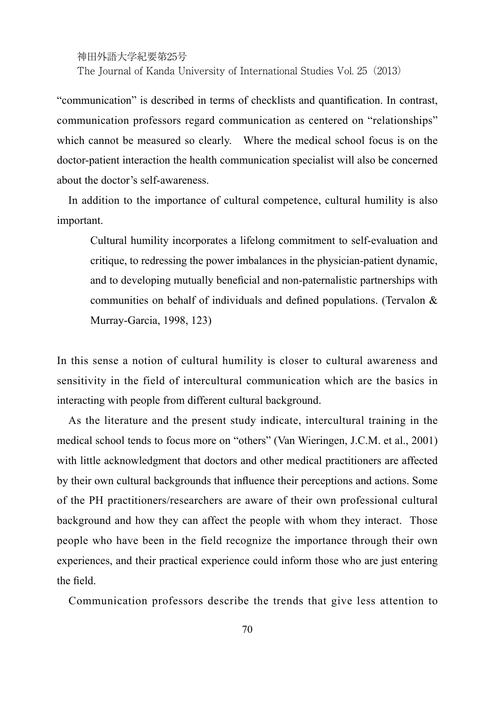"communication" is described in terms of checklists and quantification. In contrast, communication professors regard communication as centered on "relationships" which cannot be measured so clearly. Where the medical school focus is on the doctor-patient interaction the health communication specialist will also be concerned about the doctor's self-awareness.

In addition to the importance of cultural competence, cultural humility is also important.

Cultural humility incorporates a lifelong commitment to self-evaluation and critique, to redressing the power imbalances in the physician-patient dynamic, and to developing mutually beneficial and non-paternalistic partnerships with communities on behalf of individuals and defined populations. (Tervalon & Murray-Garcia, 1998, 123)

In this sense a notion of cultural humility is closer to cultural awareness and sensitivity in the field of intercultural communication which are the basics in interacting with people from different cultural background.

As the literature and the present study indicate, intercultural training in the medical school tends to focus more on "others" (Van Wieringen, J.C.M. et al., 2001) with little acknowledgment that doctors and other medical practitioners are affected by their own cultural backgrounds that influence their perceptions and actions. Some of the PH practitioners/researchers are aware of their own professional cultural background and how they can affect the people with whom they interact. Those people who have been in the field recognize the importance through their own experiences, and their practical experience could inform those who are just entering the field.

Communication professors describe the trends that give less attention to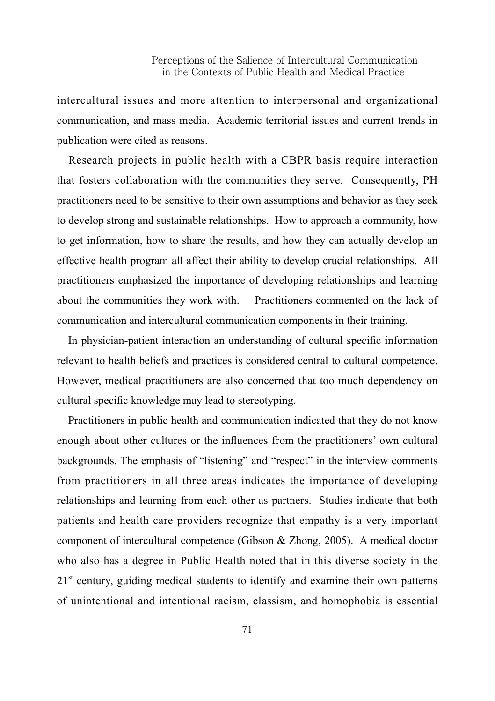intercultural issues and more attention to interpersonal and organizational communication, and mass media. Academic territorial issues and current trends in publication were cited as reasons.

Research projects in public health with a CBPR basis require interaction that fosters collaboration with the communities they serve. Consequently, PH practitioners need to be sensitive to their own assumptions and behavior as they seek to develop strong and sustainable relationships. How to approach a community, how to get information, how to share the results, and how they can actually develop an effective health program all affect their ability to develop crucial relationships. All practitioners emphasized the importance of developing relationships and learning about the communities they work with. Practitioners commented on the lack of communication and intercultural communication components in their training.

In physician-patient interaction an understanding of cultural specific information relevant to health beliefs and practices is considered central to cultural competence. However, medical practitioners are also concerned that too much dependency on cultural specific knowledge may lead to stereotyping.

Practitioners in public health and communication indicated that they do not know enough about other cultures or the influences from the practitioners' own cultural backgrounds. The emphasis of "listening" and "respect" in the interview comments from practitioners in all three areas indicates the importance of developing relationships and learning from each other as partners. Studies indicate that both patients and health care providers recognize that empathy is a very important component of intercultural competence (Gibson & Zhong, 2005). A medical doctor who also has a degree in Public Health noted that in this diverse society in the  $21<sup>st</sup>$  century, guiding medical students to identify and examine their own patterns of unintentional and intentional racism, classism, and homophobia is essential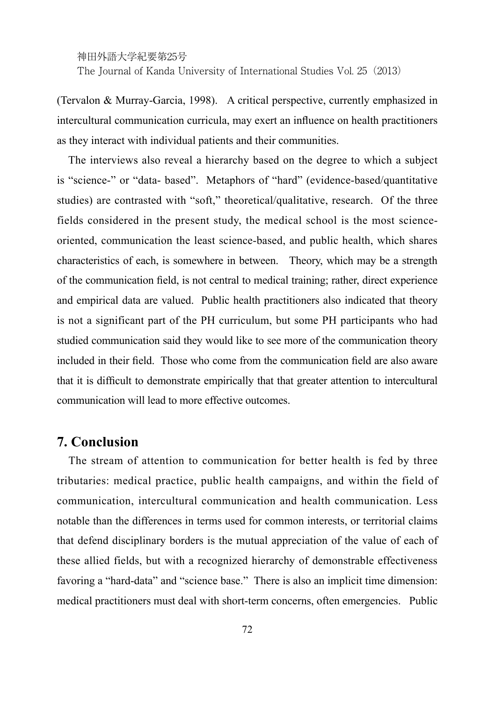(Tervalon & Murray-Garcia, 1998). A critical perspective, currently emphasized in intercultural communication curricula, may exert an influence on health practitioners as they interact with individual patients and their communities.

The interviews also reveal a hierarchy based on the degree to which a subject is "science-" or "data- based". Metaphors of "hard" (evidence-based/quantitative studies) are contrasted with "soft," theoretical/qualitative, research. Of the three fields considered in the present study, the medical school is the most scienceoriented, communication the least science-based, and public health, which shares characteristics of each, is somewhere in between. Theory, which may be a strength of the communication field, is not central to medical training; rather, direct experience and empirical data are valued. Public health practitioners also indicated that theory is not a significant part of the PH curriculum, but some PH participants who had studied communication said they would like to see more of the communication theory included in their field. Those who come from the communication field are also aware that it is difficult to demonstrate empirically that that greater attention to intercultural communication will lead to more effective outcomes.

#### **7. Conclusion**

The stream of attention to communication for better health is fed by three tributaries: medical practice, public health campaigns, and within the field of communication, intercultural communication and health communication. Less notable than the differences in terms used for common interests, or territorial claims that defend disciplinary borders is the mutual appreciation of the value of each of these allied fields, but with a recognized hierarchy of demonstrable effectiveness favoring a "hard-data" and "science base." There is also an implicit time dimension: medical practitioners must deal with short-term concerns, often emergencies. Public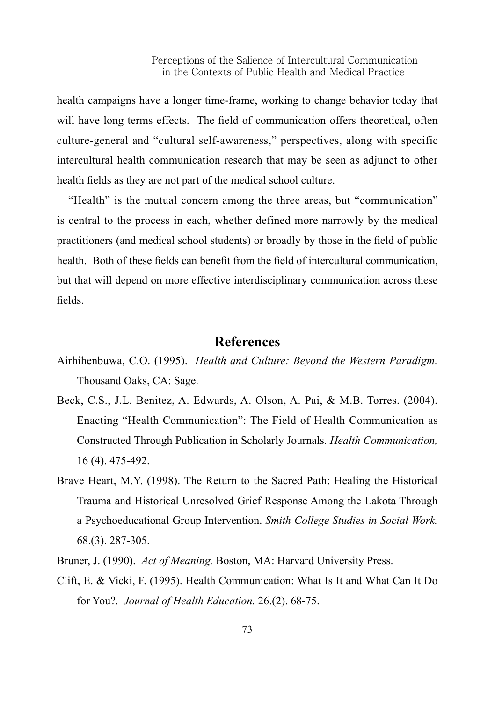health campaigns have a longer time-frame, working to change behavior today that will have long terms effects. The field of communication offers theoretical, often culture-general and "cultural self-awareness," perspectives, along with specific intercultural health communication research that may be seen as adjunct to other health fields as they are not part of the medical school culture.

"Health" is the mutual concern among the three areas, but "communication" is central to the process in each, whether defined more narrowly by the medical practitioners (and medical school students) or broadly by those in the field of public health. Both of these fields can benefit from the field of intercultural communication, but that will depend on more effective interdisciplinary communication across these fields.

## **References**

- Airhihenbuwa, C.O. (1995). *Health and Culture: Beyond the Western Paradigm.*  Thousand Oaks, CA: Sage.
- Beck, C.S., J.L. Benitez, A. Edwards, A. Olson, A. Pai, & M.B. Torres. (2004). Enacting "Health Communication": The Field of Health Communication as Constructed Through Publication in Scholarly Journals. *Health Communication,* 16 (4). 475-492.
- Brave Heart, M.Y. (1998). The Return to the Sacred Path: Healing the Historical Trauma and Historical Unresolved Grief Response Among the Lakota Through a Psychoeducational Group Intervention. *Smith College Studies in Social Work.* 68.(3). 287-305.
- Bruner, J. (1990). *Act of Meaning.* Boston, MA: Harvard University Press.
- Clift, E. & Vicki, F. (1995). Health Communication: What Is It and What Can It Do for You?. *Journal of Health Education.* 26.(2). 68-75.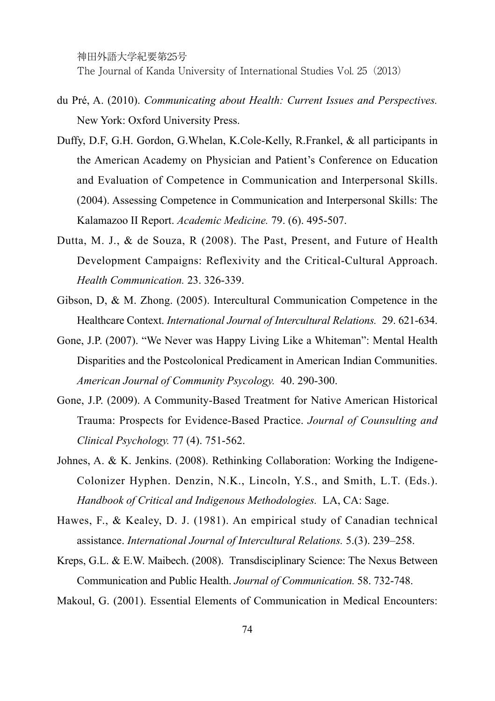- du Pré, A. (2010). *Communicating about Health: Current Issues and Perspectives.*  New York: Oxford University Press.
- Duffy, D.F, G.H. Gordon, G.Whelan, K.Cole-Kelly, R.Frankel, & all participants in the American Academy on Physician and Patient's Conference on Education and Evaluation of Competence in Communication and Interpersonal Skills. (2004). Assessing Competence in Communication and Interpersonal Skills: The Kalamazoo II Report. *Academic Medicine.* 79. (6). 495-507.
- Dutta, M. J., & de Souza, R (2008). The Past, Present, and Future of Health Development Campaigns: Reflexivity and the Critical-Cultural Approach. *Health Communication.* 23. 326-339.
- Gibson, D, & M. Zhong. (2005). Intercultural Communication Competence in the Healthcare Context. *International Journal of Intercultural Relations.* 29. 621-634.
- Gone, J.P. (2007). "We Never was Happy Living Like a Whiteman": Mental Health Disparities and the Postcolonical Predicament in American Indian Communities. *American Journal of Community Psycology.* 40. 290-300.
- Gone, J.P. (2009). A Community-Based Treatment for Native American Historical Trauma: Prospects for Evidence-Based Practice. *Journal of Counsulting and Clinical Psychology.* 77 (4). 751-562.
- Johnes, A. & K. Jenkins. (2008). Rethinking Collaboration: Working the Indigene-Colonizer Hyphen. Denzin, N.K., Lincoln, Y.S., and Smith, L.T. (Eds.). *Handbook of Critical and Indigenous Methodologies.* LA, CA: Sage.
- Hawes, F., & Kealey, D. J. (1981). An empirical study of Canadian technical assistance. *International Journal of Intercultural Relations.* 5.(3). 239–258.
- Kreps, G.L. & E.W. Maibech. (2008). Transdisciplinary Science: The Nexus Between Communication and Public Health. *Journal of Communication.* 58. 732-748.
- Makoul, G. (2001). Essential Elements of Communication in Medical Encounters: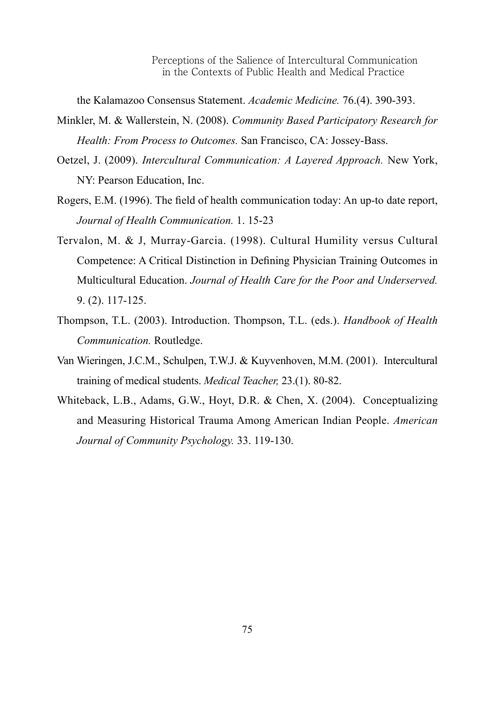the Kalamazoo Consensus Statement. *Academic Medicine.* 76.(4). 390-393.

- Minkler, M. & Wallerstein, N. (2008). *Community Based Participatory Research for Health: From Process to Outcomes.* San Francisco, CA: Jossey-Bass.
- Oetzel, J. (2009). *Intercultural Communication: A Layered Approach.* New York, NY: Pearson Education, Inc.
- Rogers, E.M. (1996). The field of health communication today: An up-to date report, *Journal of Health Communication.* 1. 15-23
- Tervalon, M. & J, Murray-Garcia. (1998). Cultural Humility versus Cultural Competence: A Critical Distinction in Defining Physician Training Outcomes in Multicultural Education. *Journal of Health Care for the Poor and Underserved.* 9. (2). 117-125.
- Thompson, T.L. (2003). Introduction. Thompson, T.L. (eds.). *Handbook of Health Communication.* Routledge.
- Van Wieringen, J.C.M., Schulpen, T.W.J. & Kuyvenhoven, M.M. (2001). Intercultural training of medical students. *Medical Teacher,* 23.(1). 80-82.
- Whiteback, L.B., Adams, G.W., Hoyt, D.R. & Chen, X. (2004). Conceptualizing and Measuring Historical Trauma Among American Indian People. *American Journal of Community Psychology.* 33. 119-130.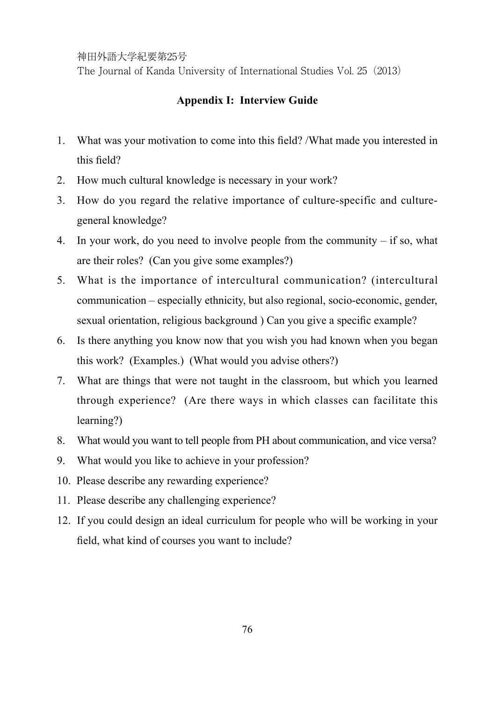The Journal of Kanda University of International Studies Vol. 25(2013)

#### **Appendix I: Interview Guide**

- 1. What was your motivation to come into this field? /What made you interested in this field?
- 2. How much cultural knowledge is necessary in your work?
- 3. How do you regard the relative importance of culture-specific and culturegeneral knowledge?
- 4. In your work, do you need to involve people from the community  $-$  if so, what are their roles? (Can you give some examples?)
- 5. What is the importance of intercultural communication? (intercultural communication – especially ethnicity, but also regional, socio-economic, gender, sexual orientation, religious background ) Can you give a specific example?
- 6. Is there anything you know now that you wish you had known when you began this work? (Examples.) (What would you advise others?)
- 7. What are things that were not taught in the classroom, but which you learned through experience? (Are there ways in which classes can facilitate this learning?)
- 8. What would you want to tell people from PH about communication, and vice versa?
- 9. What would you like to achieve in your profession?
- 10. Please describe any rewarding experience?
- 11. Please describe any challenging experience?
- 12. If you could design an ideal curriculum for people who will be working in your field, what kind of courses you want to include?